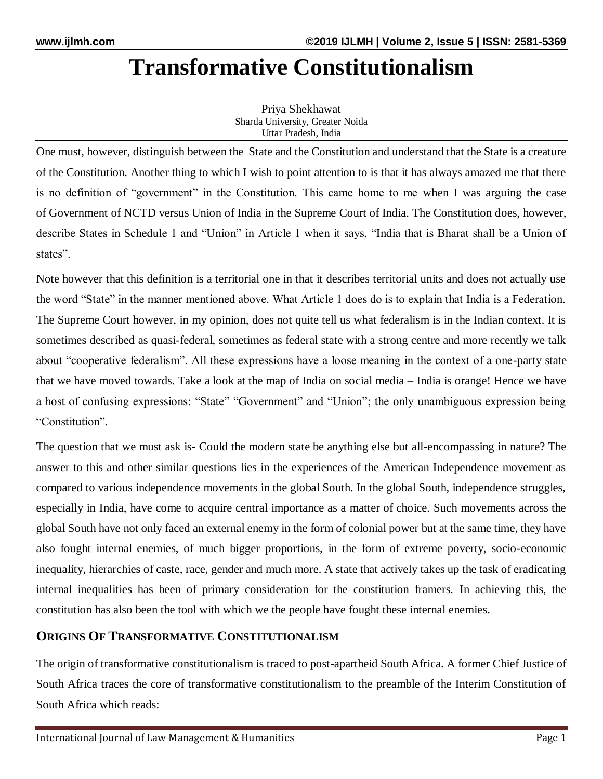# **Transformative Constitutionalism**

Priya Shekhawat Sharda University, Greater Noida Uttar Pradesh, India

One must, however, distinguish between the State and the Constitution and understand that the State is a creature of the Constitution. Another thing to which I wish to point attention to is that it has always amazed me that there is no definition of "government" in the Constitution. This came home to me when I was arguing the case of [Government of NCTD versus Union of India](https://indiankanoon.org/doc/69467663/) [i](https://indiankanoon.org/doc/69467663/)n the Supreme Court of India. The Constitution does, however, describe States in Schedule 1 and "Union" in Article 1 when it says, "India that is Bharat shall be a Union of states".

Note however that this definition is a territorial one in that it describes territorial units and does not actually use the word "State" in the manner mentioned above. What Article 1 does do is to explain that India is a Federation. The Supreme Court however, in my opinion, does not quite tell us what federalism is in the Indian context. It is sometimes described as quasi-federal, sometimes as federal state with a strong centre and more recently we talk about "cooperative federalism". All these expressions have a loose meaning in the context of a one-party state that we have moved towards. Take a look at the map of India on social media – India is orange! Hence we have a host of confusing expressions: "State" "Government" and "Union"; the only unambiguous expression being "Constitution".

The question that we must ask is- Could the modern state be anything else but all-encompassing in nature? The answer to this and other similar questions lies in the experiences of the American Independence movement as compared to various independence movements in the global South. In the global South, independence struggles, especially in India, have come to acquire central importance as a matter of choice. Such movements across the global South have not only faced an external enemy in the form of colonial power but at the same time, they have also fought internal enemies, of much bigger proportions, in the form of extreme poverty, socio-economic inequality, hierarchies of caste, race, gender and much more. A state that actively takes up the task of eradicating internal inequalities has been of primary consideration for the constitution framers. In achieving this, the constitution has also been the tool with which we the people have fought these internal enemies.

## **ORIGINS OF TRANSFORMATIVE CONSTITUTIONALISM**

The origin of transformative constitutionalism is traced to post-apartheid South Africa. A former Chief Justice of South Africa traces the core of transformative constitutionalism to the preamble of the Interim Constitution of South Africa which reads: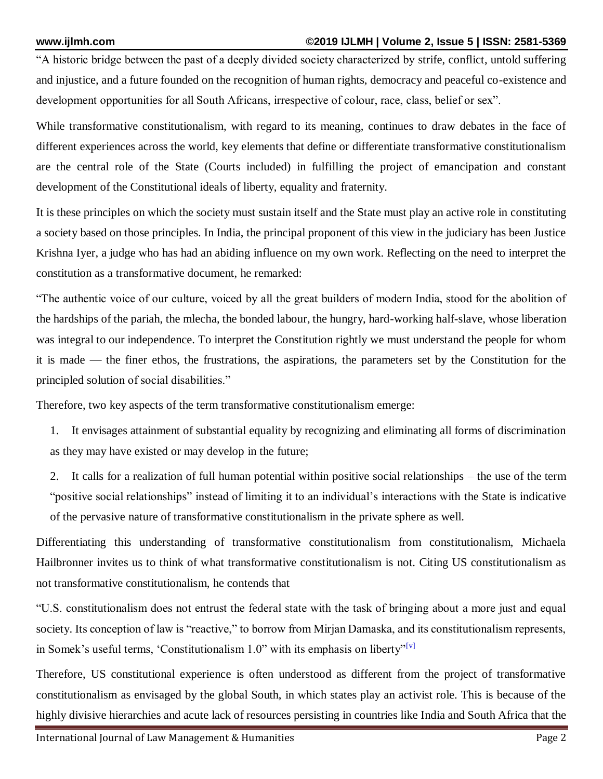"A historic bridge between the past of a deeply divided society characterized by strife, conflict, untold suffering and injustice, and a future founded on the recognition of human rights, democracy and peaceful co-existence and development opportunities for all South Africans, irrespective of colour, race, class, belief or sex".

While transformative constitutionalism, with regard to its meaning, continues to draw debates in the face of different experiences across the world, key elements that define or differentiate transformative constitutionalism are the central role of the State (Courts included) in fulfilling the project of emancipation and constant development of the Constitutional ideals of liberty, equality and fraternity.

It is these principles on which the society must sustain itself and the State must play an active role in constituting a society based on those principles. In India, the principal proponent of this view in the judiciary has been Justice Krishna Iyer, a judge who has had an abiding influence on my own work. Reflecting on the need to interpret the constitution as a transformative document, he remarked:

"The authentic voice of our culture, voiced by all the great builders of modern India, stood for the abolition of the hardships of the pariah, the mlecha, the bonded labour, the hungry, hard-working half-slave, whose liberation was integral to our independence. To interpret the Constitution rightly we must understand the people for whom it is made — the finer ethos, the frustrations, the aspirations, the parameters set by the Constitution for the principled solution of social disabilities."

Therefore, two key aspects of the term transformative constitutionalism emerge:

- 1. It envisages attainment of substantial equality by recognizing and eliminating all forms of discrimination as they may have existed or may develop in the future;
- 2. It calls for a realization of full human potential within positive social relationships the use of the term "positive social relationships" instead of limiting it to an individual's interactions with the State is indicative of the pervasive nature of transformative constitutionalism in the private sphere as well.

Differentiating this understanding of transformative constitutionalism from constitutionalism, Michaela Hailbronner invites us to think of what transformative constitutionalism is not. Citing US constitutionalism as not transformative constitutionalism, he contends that

"U.S. constitutionalism does not entrust the federal state with the task of bringing about a more just and equal society. Its conception of law is "reactive," to borrow from Mirjan Damaska, and its constitutionalism represents, in Somek's useful terms, 'Constitutionalism  $1.0$ " with its emphasis on liberty"<sup>[\[v\]](https://indianculturalforum.in/2019/07/22/transformative-constitutionalism-a-post-colonial-experiment/#5)</sup>

Therefore, US constitutional experience is often understood as different from the project of transformative constitutionalism as envisaged by the global South, in which states play an activist role. This is because of the highly divisive hierarchies and acute lack of resources persisting in countries like India and South Africa that the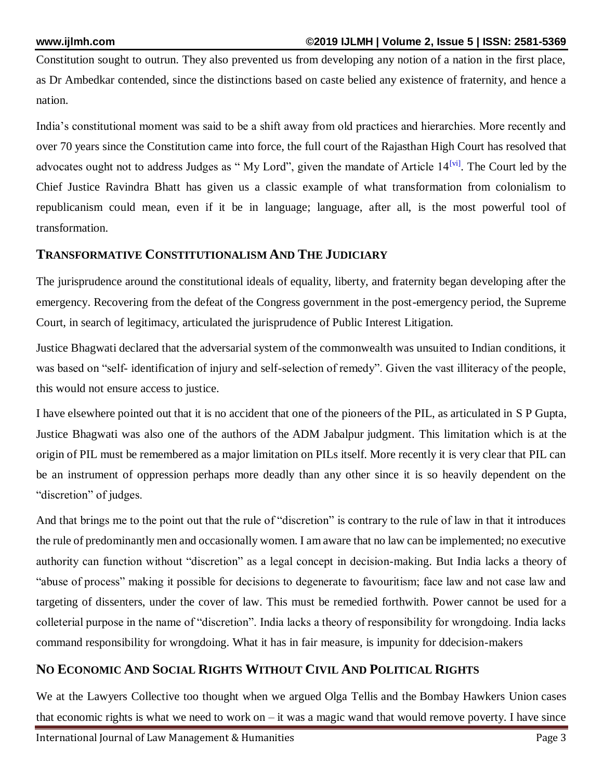Constitution sought to outrun. They also prevented us from developing any notion of a nation in the first place, as Dr Ambedkar contended, since the distinctions based on caste belied any existence of fraternity, and hence a nation.

India's constitutional moment was said to be a shift away from old practices and hierarchies. More recently and over 70 years since the Constitution came into force, the full court of the Rajasthan High Court has resolved that advocates ought not to address Judges as "My Lord", given the mandate of Article  $14^{[vi]}$  $14^{[vi]}$  $14^{[vi]}$ . The Court led by the Chief Justice Ravindra Bhatt has given us a classic example of what transformation from colonialism to republicanism could mean, even if it be in language; language, after all, is the most powerful tool of transformation.

#### **TRANSFORMATIVE CONSTITUTIONALISM AND THE JUDICIARY**

The jurisprudence around the constitutional ideals of equality, liberty, and fraternity began developing after the emergency. Recovering from the defeat of the Congress government in the post-emergency period, the Supreme Court, in search of legitimacy, articulated the jurisprudence of Public Interest Litigation.

Justice Bhagwati declared that the adversarial system of the commonwealth was unsuited to Indian conditions, it was based on "self- identification of injury and self-selection of remedy". Given the vast illiteracy of the people, this would not ensure access to justice.

I have elsewhere pointed out that it is no accident that one of the pioneers of the PIL, as articulated in [S P Gupta,](https://www.google.com/search?client=safari&rls=en&q=s+p+gupta+case&ie=UTF-8&oe=UTF-8) Justice Bhagwati was also one of the authors of the [ADM Jabalpur](https://indiankanoon.org/doc/1735815/) judgment. This limitation which is at the origin of PIL must be remembered as a major limitation on PILs itself. More recently it is very clear that PIL can be an instrument of oppression perhaps more deadly than any other since it is so heavily dependent on the "discretion" of judges.

And that brings me to the point out that the rule of "discretion" is contrary to the rule of law in that it introduces the rule of predominantly men and occasionally women. I am aware that no law can be implemented; no executive authority can function without "discretion" as a legal concept in decision-making. But India lacks a theory of "abuse of process" making it possible for decisions to degenerate to favouritism; face law and not case law and targeting of dissenters, under the cover of law. This must be remedied forthwith. Power cannot be used for a colleterial purpose in the name of "discretion". India lacks a theory of responsibility for wrongdoing. India lacks command responsibility for wrongdoing. What it has in fair measure, is impunity for ddecision-makers

## **NO ECONOMIC AND SOCIAL RIGHTS WITHOUT CIVIL AND POLITICAL RIGHTS**

We at the Lawyers Collective too thought when we argued [Olga Tellis](https://indiankanoon.org/doc/709776/) and the [Bombay Hawkers Union](https://indiankanoon.org/doc/231387/) cases that economic rights is what we need to work on – it was a magic wand that would remove poverty. I have since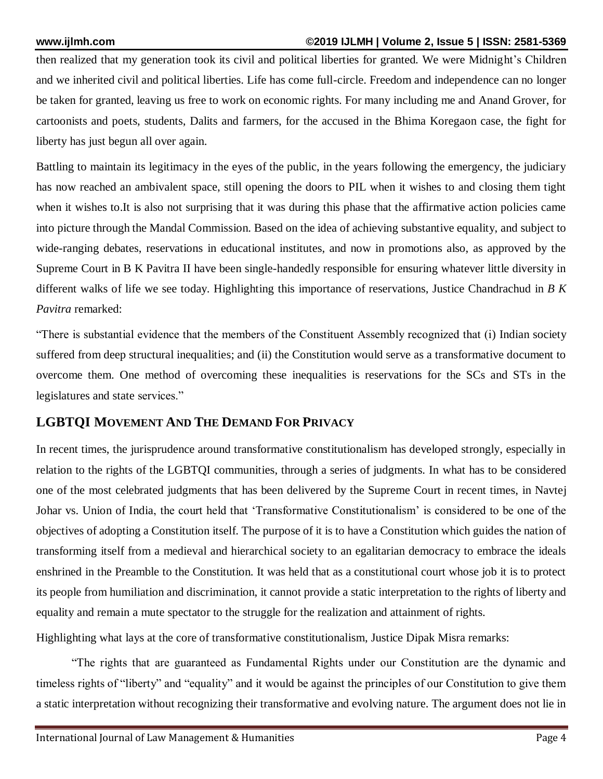then realized that my generation took its civil and political liberties for granted. We were Midnight's Children and we inherited civil and political liberties. Life has come full-circle. Freedom and independence can no longer be taken for granted, leaving us free to work on economic rights. For many including me and Anand Grover, for cartoonists and poets, students, Dalits and farmers, for the accused in the Bhima Koregaon case, the fight for liberty has just begun all over again.

Battling to maintain its legitimacy in the eyes of the public, in the years following the emergency, the judiciary has now reached an ambivalent space, still opening the doors to PIL when it wishes to and closing them tight when it wishes to.It is also not surprising that it was during this phase that the affirmative action policies came into picture through the Mandal Commission. Based on the idea of achieving substantive equality, and subject to wide-ranging debates, reservations in educational institutes, and now in promotions also, as approved by the Supreme Court in [B K Pavitra II](https://www.sci.gov.in/supremecourt/2018/15655/15655_2018_Judgement_10-May-2019.pdf) have been single-handedly responsible for ensuring whatever little diversity in different walks of life we see today. Highlighting this importance of reservations, Justice Chandrachud in *B K Pavitra* remarked:

"There is substantial evidence that the members of the Constituent Assembly recognized that (i) Indian society suffered from deep structural inequalities; and (ii) the Constitution would serve as a transformative document to overcome them. One method of overcoming these inequalities is reservations for the SCs and STs in the legislatures and state services."

# **LGBTQI MOVEMENT AND THE DEMAND FOR PRIVACY**

In recent times, the jurisprudence around transformative constitutionalism has developed strongly, especially in relation to the rights of the LGBTQI communities, through a series of judgments. In what has to be considered one of the most celebrated judgments that has been delivered by the Supreme Court in recent times, in [Navtej](https://www.sci.gov.in/supremecourt/2016/14961/14961_2016_Judgement_06-Sep-2018.pdf)  Johar vs. [Union of India,](https://www.sci.gov.in/supremecourt/2016/14961/14961_2016_Judgement_06-Sep-2018.pdf) the court held that 'Transformative Constitutionalism' is considered to be one of the objectives of adopting a Constitution itself. The purpose of it is to have a Constitution which guides the nation of transforming itself from a medieval and hierarchical society to an egalitarian democracy to embrace the ideals enshrined in the Preamble to the Constitution. It was held that as a constitutional court whose job it is to protect its people from humiliation and discrimination, it cannot provide a static interpretation to the rights of liberty and equality and remain a mute spectator to the struggle for the realization and attainment of rights.

Highlighting what lays at the core of transformative constitutionalism, Justice Dipak Misra remarks:

"The rights that are guaranteed as Fundamental Rights under our Constitution are the dynamic and timeless rights of "liberty" and "equality" and it would be against the principles of our Constitution to give them a static interpretation without recognizing their transformative and evolving nature. The argument does not lie in